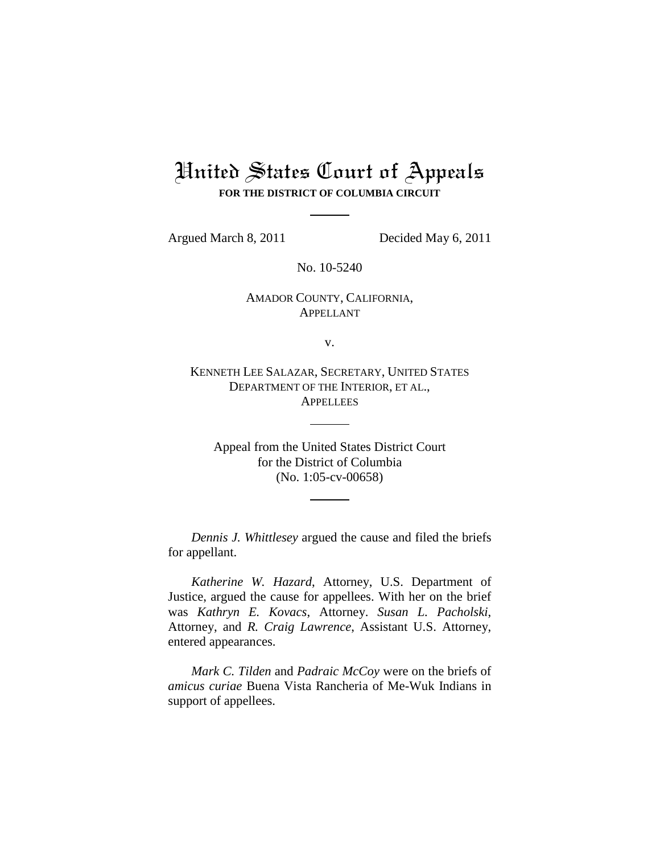# United States Court of Appeals **FOR THE DISTRICT OF COLUMBIA CIRCUIT**

Argued March 8, 2011 Decided May 6, 2011

No. 10-5240

# AMADOR COUNTY, CALIFORNIA, APPELLANT

v.

KENNETH LEE SALAZAR, SECRETARY, UNITED STATES DEPARTMENT OF THE INTERIOR, ET AL., **APPELLEES** 

Appeal from the United States District Court for the District of Columbia (No. 1:05-cv-00658)

*Dennis J. Whittlesey* argued the cause and filed the briefs for appellant.

*Katherine W. Hazard*, Attorney, U.S. Department of Justice, argued the cause for appellees. With her on the brief was *Kathryn E. Kovacs*, Attorney. *Susan L. Pacholski*, Attorney, and *R. Craig Lawrence*, Assistant U.S. Attorney, entered appearances.

*Mark C. Tilden* and *Padraic McCoy* were on the briefs of *amicus curiae* Buena Vista Rancheria of Me-Wuk Indians in support of appellees.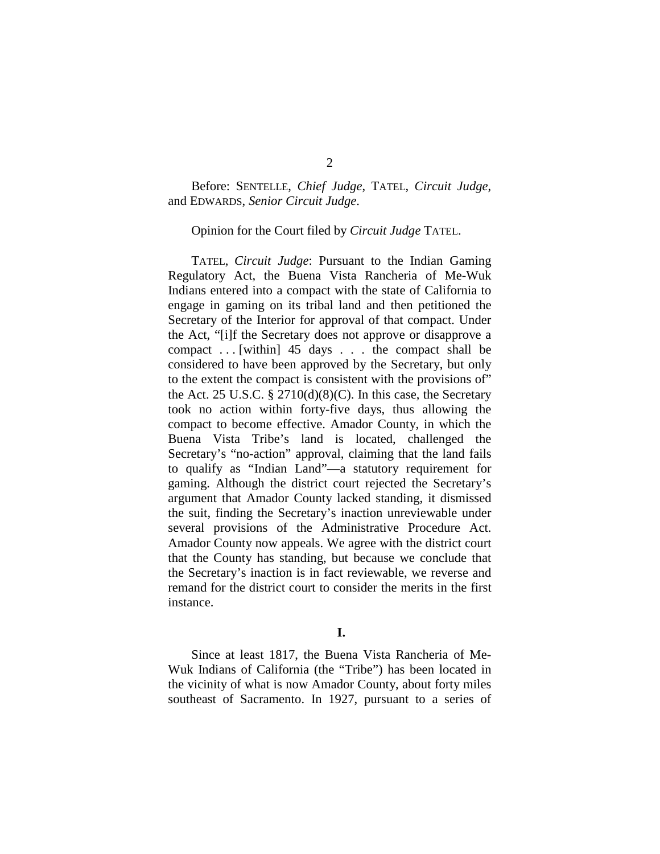### Before: SENTELLE, *Chief Judge*, TATEL, *Circuit Judge*, and EDWARDS, *Senior Circuit Judge*.

#### Opinion for the Court filed by *Circuit Judge* TATEL.

TATEL, *Circuit Judge*: Pursuant to the Indian Gaming Regulatory Act, the Buena Vista Rancheria of Me-Wuk Indians entered into a compact with the state of California to engage in gaming on its tribal land and then petitioned the Secretary of the Interior for approval of that compact. Under the Act, "[i]f the Secretary does not approve or disapprove a compact . . . [within] 45 days . . . the compact shall be considered to have been approved by the Secretary, but only to the extent the compact is consistent with the provisions of" the Act. 25 U.S.C.  $\S 2710(d)(8)(C)$ . In this case, the Secretary took no action within forty-five days, thus allowing the compact to become effective. Amador County, in which the Buena Vista Tribe's land is located, challenged the Secretary's "no-action" approval, claiming that the land fails to qualify as "Indian Land"—a statutory requirement for gaming. Although the district court rejected the Secretary's argument that Amador County lacked standing, it dismissed the suit, finding the Secretary's inaction unreviewable under several provisions of the Administrative Procedure Act. Amador County now appeals. We agree with the district court that the County has standing, but because we conclude that the Secretary's inaction is in fact reviewable, we reverse and remand for the district court to consider the merits in the first instance.

#### **I.**

Since at least 1817, the Buena Vista Rancheria of Me-Wuk Indians of California (the "Tribe") has been located in the vicinity of what is now Amador County, about forty miles southeast of Sacramento. In 1927, pursuant to a series of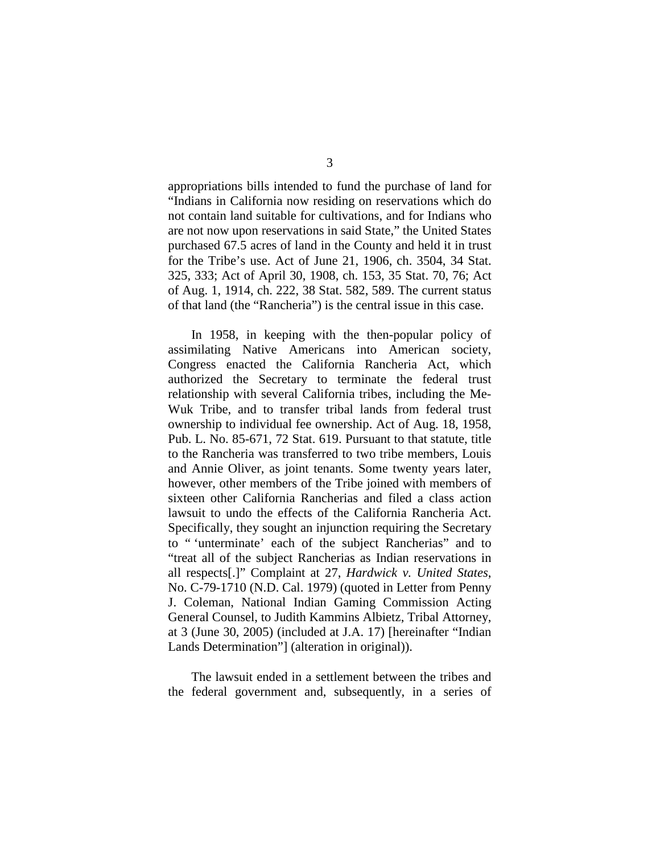appropriations bills intended to fund the purchase of land for "Indians in California now residing on reservations which do not contain land suitable for cultivations, and for Indians who are not now upon reservations in said State," the United States purchased 67.5 acres of land in the County and held it in trust for the Tribe's use. Act of June 21, 1906, ch. 3504, 34 Stat. 325, 333; Act of April 30, 1908, ch. 153, 35 Stat. 70, 76; Act of Aug. 1, 1914, ch. 222, 38 Stat. 582, 589. The current status of that land (the "Rancheria") is the central issue in this case.

In 1958, in keeping with the then-popular policy of assimilating Native Americans into American society, Congress enacted the California Rancheria Act, which authorized the Secretary to terminate the federal trust relationship with several California tribes, including the Me-Wuk Tribe, and to transfer tribal lands from federal trust ownership to individual fee ownership. Act of Aug. 18, 1958, Pub. L. No. 85-671, 72 Stat. 619. Pursuant to that statute, title to the Rancheria was transferred to two tribe members, Louis and Annie Oliver, as joint tenants. Some twenty years later, however, other members of the Tribe joined with members of sixteen other California Rancherias and filed a class action lawsuit to undo the effects of the California Rancheria Act. Specifically, they sought an injunction requiring the Secretary to " 'unterminate' each of the subject Rancherias" and to "treat all of the subject Rancherias as Indian reservations in all respects[.]" Complaint at 27, *Hardwick v. United States*, No. C-79-1710 (N.D. Cal. 1979) (quoted in Letter from Penny J. Coleman, National Indian Gaming Commission Acting General Counsel, to Judith Kammins Albietz, Tribal Attorney, at 3 (June 30, 2005) (included at J.A. 17) [hereinafter "Indian Lands Determination"] (alteration in original)).

The lawsuit ended in a settlement between the tribes and the federal government and, subsequently, in a series of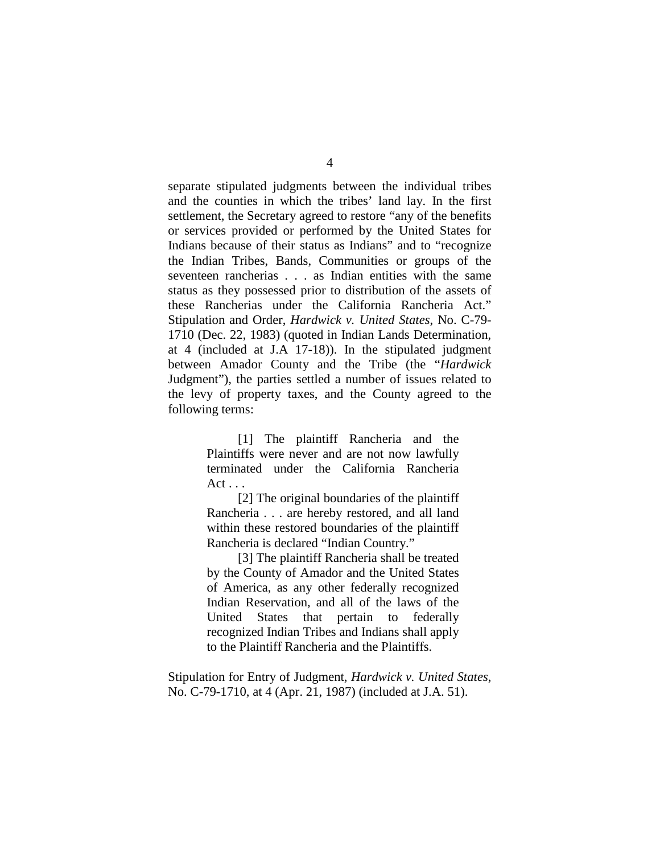separate stipulated judgments between the individual tribes and the counties in which the tribes' land lay. In the first settlement, the Secretary agreed to restore "any of the benefits or services provided or performed by the United States for Indians because of their status as Indians" and to "recognize the Indian Tribes, Bands, Communities or groups of the seventeen rancherias . . . as Indian entities with the same status as they possessed prior to distribution of the assets of these Rancherias under the California Rancheria Act." Stipulation and Order, *Hardwick v. United States*, No. C-79- 1710 (Dec. 22, 1983) (quoted in Indian Lands Determination, at 4 (included at J.A 17-18)). In the stipulated judgment between Amador County and the Tribe (the "*Hardwick*  Judgment"), the parties settled a number of issues related to the levy of property taxes, and the County agreed to the following terms:

> [1] The plaintiff Rancheria and the Plaintiffs were never and are not now lawfully terminated under the California Rancheria Act . . .

> [2] The original boundaries of the plaintiff Rancheria . . . are hereby restored, and all land within these restored boundaries of the plaintiff Rancheria is declared "Indian Country."

> [3] The plaintiff Rancheria shall be treated by the County of Amador and the United States of America, as any other federally recognized Indian Reservation, and all of the laws of the United States that pertain to federally recognized Indian Tribes and Indians shall apply to the Plaintiff Rancheria and the Plaintiffs.

Stipulation for Entry of Judgment, *Hardwick v. United States*, No. C-79-1710, at 4 (Apr. 21, 1987) (included at J.A. 51).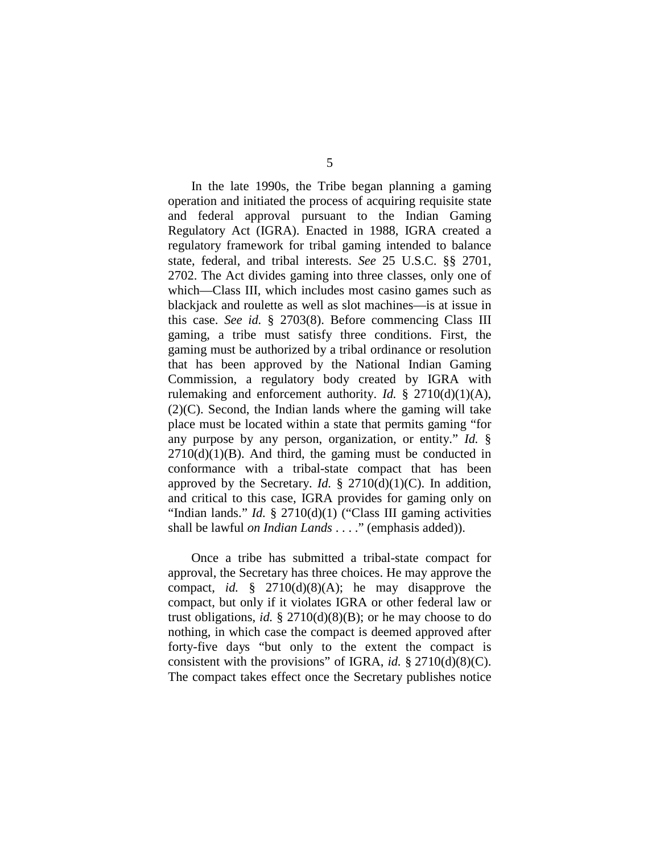In the late 1990s, the Tribe began planning a gaming operation and initiated the process of acquiring requisite state and federal approval pursuant to the Indian Gaming Regulatory Act (IGRA). Enacted in 1988, IGRA created a regulatory framework for tribal gaming intended to balance state, federal, and tribal interests. *See* 25 U.S.C. §§ 2701, 2702. The Act divides gaming into three classes, only one of which—Class III, which includes most casino games such as blackjack and roulette as well as slot machines—is at issue in this case. *See id.* § 2703(8). Before commencing Class III gaming, a tribe must satisfy three conditions. First, the gaming must be authorized by a tribal ordinance or resolution that has been approved by the National Indian Gaming Commission, a regulatory body created by IGRA with rulemaking and enforcement authority. *Id.*  $\S$  2710(d)(1)(A), (2)(C). Second, the Indian lands where the gaming will take place must be located within a state that permits gaming "for any purpose by any person, organization, or entity." *Id.* §  $2710(d)(1)(B)$ . And third, the gaming must be conducted in conformance with a tribal-state compact that has been approved by the Secretary. *Id.* § 2710(d)(1)(C). In addition, and critical to this case, IGRA provides for gaming only on "Indian lands." *Id.* § 2710(d)(1) ("Class III gaming activities shall be lawful *on Indian Lands* . . . ." (emphasis added)).

Once a tribe has submitted a tribal-state compact for approval, the Secretary has three choices. He may approve the compact, *id.* § 2710(d)(8)(A); he may disapprove the compact, but only if it violates IGRA or other federal law or trust obligations, *id.* § 2710(d)(8)(B); or he may choose to do nothing, in which case the compact is deemed approved after forty-five days "but only to the extent the compact is consistent with the provisions" of IGRA, *id.* § 2710(d)(8)(C). The compact takes effect once the Secretary publishes notice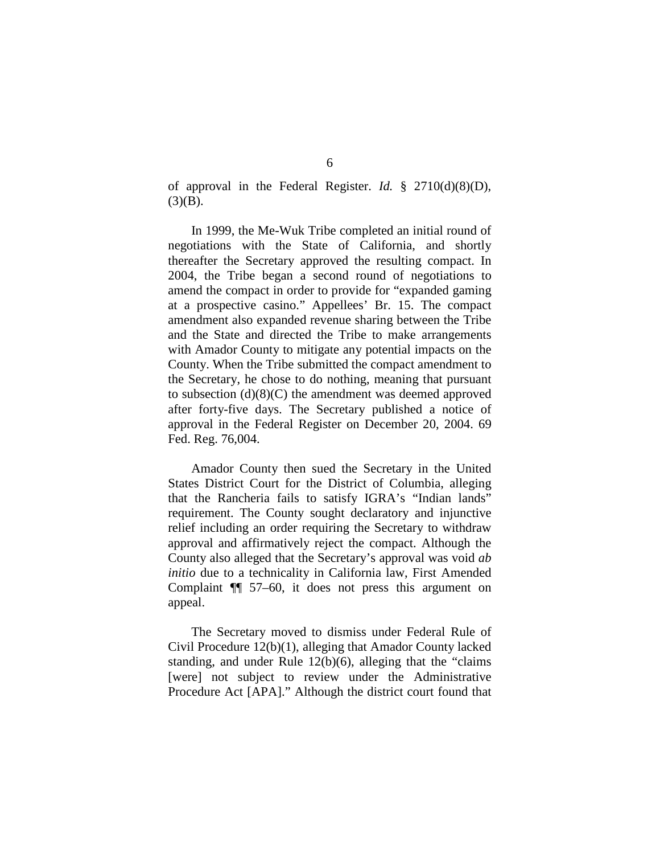of approval in the Federal Register. *Id.* § 2710(d)(8)(D),  $(3)(B)$ .

In 1999, the Me-Wuk Tribe completed an initial round of negotiations with the State of California, and shortly thereafter the Secretary approved the resulting compact. In 2004, the Tribe began a second round of negotiations to amend the compact in order to provide for "expanded gaming at a prospective casino." Appellees' Br. 15. The compact amendment also expanded revenue sharing between the Tribe and the State and directed the Tribe to make arrangements with Amador County to mitigate any potential impacts on the County. When the Tribe submitted the compact amendment to the Secretary, he chose to do nothing, meaning that pursuant to subsection (d)(8)(C) the amendment was deemed approved after forty-five days. The Secretary published a notice of approval in the Federal Register on December 20, 2004. 69 Fed. Reg. 76,004.

Amador County then sued the Secretary in the United States District Court for the District of Columbia, alleging that the Rancheria fails to satisfy IGRA's "Indian lands" requirement. The County sought declaratory and injunctive relief including an order requiring the Secretary to withdraw approval and affirmatively reject the compact. Although the County also alleged that the Secretary's approval was void *ab initio* due to a technicality in California law, First Amended Complaint ¶¶ 57–60, it does not press this argument on appeal.

The Secretary moved to dismiss under Federal Rule of Civil Procedure 12(b)(1), alleging that Amador County lacked standing, and under Rule 12(b)(6), alleging that the "claims [were] not subject to review under the Administrative Procedure Act [APA]." Although the district court found that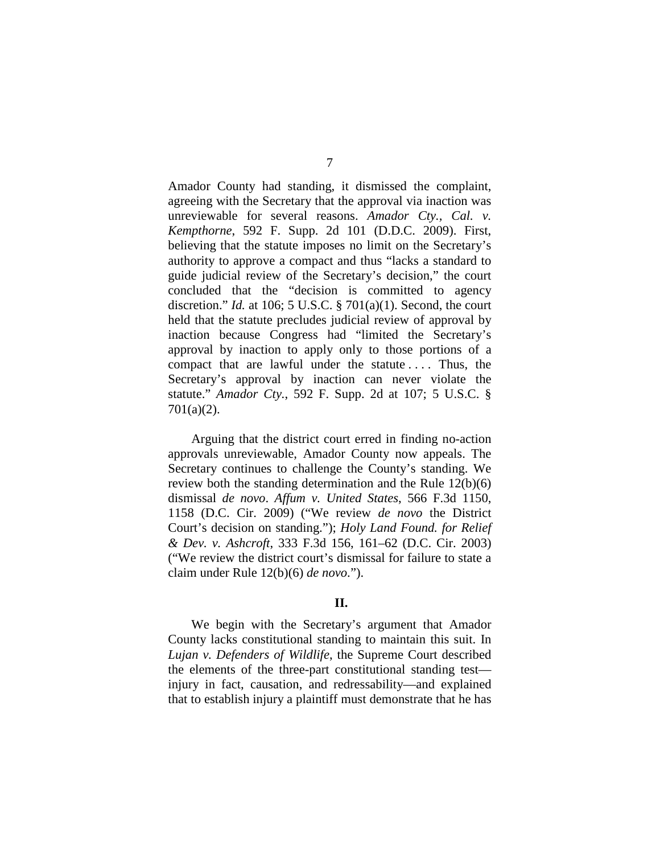Amador County had standing, it dismissed the complaint, agreeing with the Secretary that the approval via inaction was unreviewable for several reasons. *Amador Cty., Cal. v. Kempthorne*, 592 F. Supp. 2d 101 (D.D.C. 2009). First, believing that the statute imposes no limit on the Secretary's authority to approve a compact and thus "lacks a standard to guide judicial review of the Secretary's decision," the court concluded that the "decision is committed to agency discretion." *Id.* at 106; 5 U.S.C. § 701(a)(1). Second, the court held that the statute precludes judicial review of approval by inaction because Congress had "limited the Secretary's approval by inaction to apply only to those portions of a compact that are lawful under the statute . . . . Thus, the Secretary's approval by inaction can never violate the statute." *Amador Cty.*, 592 F. Supp. 2d at 107; 5 U.S.C. § 701(a)(2).

Arguing that the district court erred in finding no-action approvals unreviewable, Amador County now appeals. The Secretary continues to challenge the County's standing. We review both the standing determination and the Rule 12(b)(6) dismissal *de novo*. *Affum v. United States*, 566 F.3d 1150, 1158 (D.C. Cir. 2009) ("We review *de novo* the District Court's decision on standing."); *Holy Land Found. for Relief & Dev. v. Ashcroft*, 333 F.3d 156, 161–62 (D.C. Cir. 2003) ("We review the district court's dismissal for failure to state a claim under Rule 12(b)(6) *de novo*.").

#### **II.**

We begin with the Secretary's argument that Amador County lacks constitutional standing to maintain this suit. In *Lujan v. Defenders of Wildlife*, the Supreme Court described the elements of the three-part constitutional standing test injury in fact, causation, and redressability—and explained that to establish injury a plaintiff must demonstrate that he has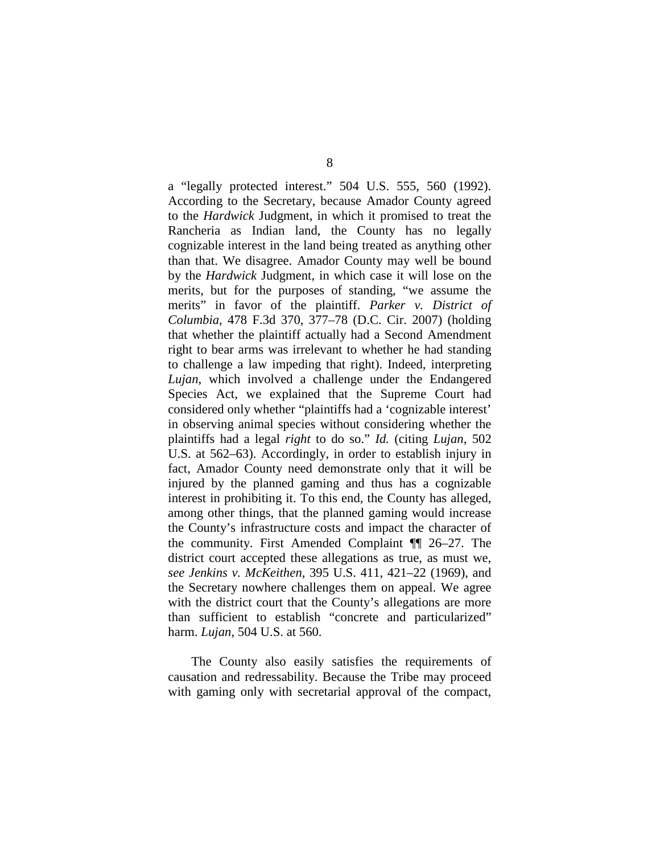a "legally protected interest." 504 U.S. 555, 560 (1992). According to the Secretary, because Amador County agreed to the *Hardwick* Judgment, in which it promised to treat the Rancheria as Indian land, the County has no legally cognizable interest in the land being treated as anything other than that. We disagree. Amador County may well be bound by the *Hardwick* Judgment, in which case it will lose on the merits, but for the purposes of standing, "we assume the merits" in favor of the plaintiff. *Parker v. District of Columbia*, 478 F.3d 370, 377–78 (D.C. Cir. 2007) (holding that whether the plaintiff actually had a Second Amendment right to bear arms was irrelevant to whether he had standing to challenge a law impeding that right). Indeed, interpreting *Lujan*, which involved a challenge under the Endangered Species Act, we explained that the Supreme Court had considered only whether "plaintiffs had a 'cognizable interest' in observing animal species without considering whether the plaintiffs had a legal *right* to do so." *Id.* (citing *Lujan*, 502 U.S. at 562–63). Accordingly, in order to establish injury in fact, Amador County need demonstrate only that it will be injured by the planned gaming and thus has a cognizable interest in prohibiting it. To this end, the County has alleged, among other things, that the planned gaming would increase the County's infrastructure costs and impact the character of the community. First Amended Complaint ¶¶ 26–27. The district court accepted these allegations as true, as must we, *see Jenkins v. McKeithen*, 395 U.S. 411, 421–22 (1969), and the Secretary nowhere challenges them on appeal. We agree with the district court that the County's allegations are more than sufficient to establish "concrete and particularized" harm. *Lujan*, 504 U.S. at 560.

The County also easily satisfies the requirements of causation and redressability. Because the Tribe may proceed with gaming only with secretarial approval of the compact,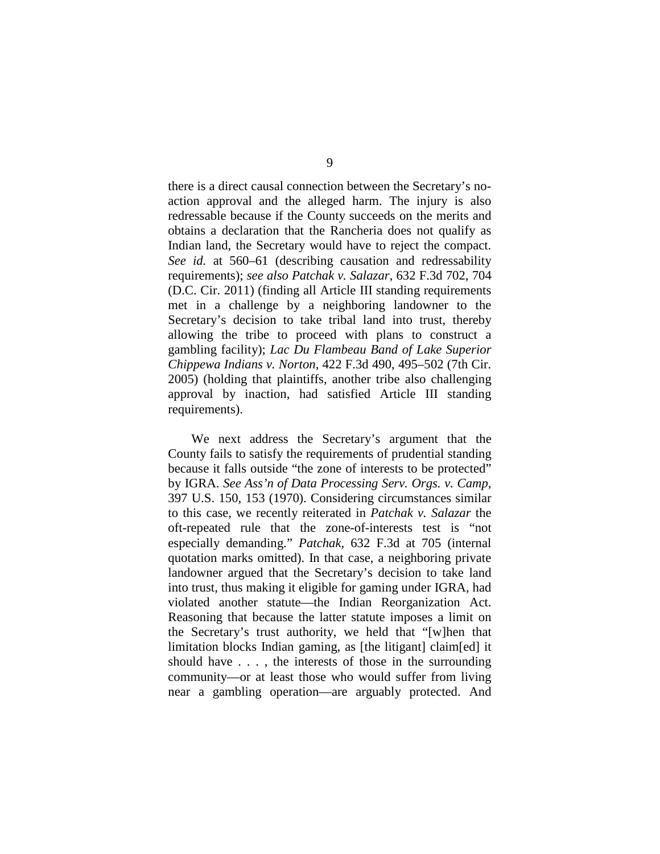there is a direct causal connection between the Secretary's noaction approval and the alleged harm. The injury is also redressable because if the County succeeds on the merits and obtains a declaration that the Rancheria does not qualify as Indian land, the Secretary would have to reject the compact. *See id.* at 560–61 (describing causation and redressability requirements); *see also Patchak v. Salazar*, 632 F.3d 702, 704 (D.C. Cir. 2011) (finding all Article III standing requirements met in a challenge by a neighboring landowner to the Secretary's decision to take tribal land into trust, thereby allowing the tribe to proceed with plans to construct a gambling facility); *Lac Du Flambeau Band of Lake Superior Chippewa Indians v. Norton*, 422 F.3d 490, 495–502 (7th Cir. 2005) (holding that plaintiffs, another tribe also challenging approval by inaction, had satisfied Article III standing requirements).

We next address the Secretary's argument that the County fails to satisfy the requirements of prudential standing because it falls outside "the zone of interests to be protected" by IGRA. *See Ass'n of Data Processing Serv. Orgs. v. Camp*, 397 U.S. 150, 153 (1970). Considering circumstances similar to this case, we recently reiterated in *Patchak v. Salazar* the oft-repeated rule that the zone-of-interests test is "not especially demanding." *Patchak*, 632 F.3d at 705 (internal quotation marks omitted). In that case, a neighboring private landowner argued that the Secretary's decision to take land into trust, thus making it eligible for gaming under IGRA, had violated another statute—the Indian Reorganization Act. Reasoning that because the latter statute imposes a limit on the Secretary's trust authority, we held that "[w]hen that limitation blocks Indian gaming, as [the litigant] claim[ed] it should have . . . , the interests of those in the surrounding community—or at least those who would suffer from living near a gambling operation—are arguably protected. And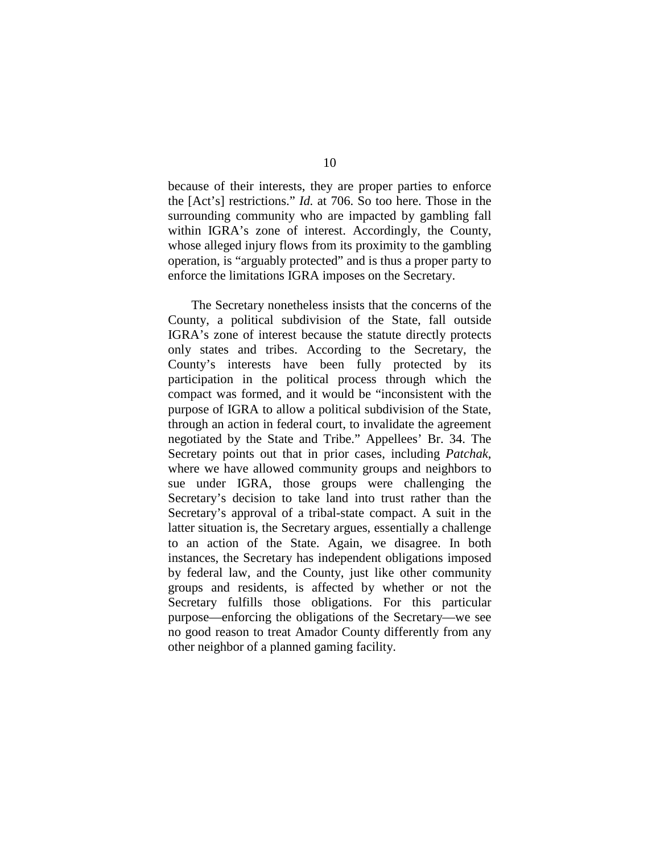because of their interests, they are proper parties to enforce the [Act's] restrictions." *Id.* at 706. So too here. Those in the surrounding community who are impacted by gambling fall within IGRA's zone of interest. Accordingly, the County, whose alleged injury flows from its proximity to the gambling operation, is "arguably protected" and is thus a proper party to enforce the limitations IGRA imposes on the Secretary.

The Secretary nonetheless insists that the concerns of the County, a political subdivision of the State, fall outside IGRA's zone of interest because the statute directly protects only states and tribes. According to the Secretary, the County's interests have been fully protected by its participation in the political process through which the compact was formed, and it would be "inconsistent with the purpose of IGRA to allow a political subdivision of the State, through an action in federal court, to invalidate the agreement negotiated by the State and Tribe." Appellees' Br. 34. The Secretary points out that in prior cases, including *Patchak*, where we have allowed community groups and neighbors to sue under IGRA, those groups were challenging the Secretary's decision to take land into trust rather than the Secretary's approval of a tribal-state compact. A suit in the latter situation is, the Secretary argues, essentially a challenge to an action of the State. Again, we disagree. In both instances, the Secretary has independent obligations imposed by federal law, and the County, just like other community groups and residents, is affected by whether or not the Secretary fulfills those obligations. For this particular purpose—enforcing the obligations of the Secretary—we see no good reason to treat Amador County differently from any other neighbor of a planned gaming facility.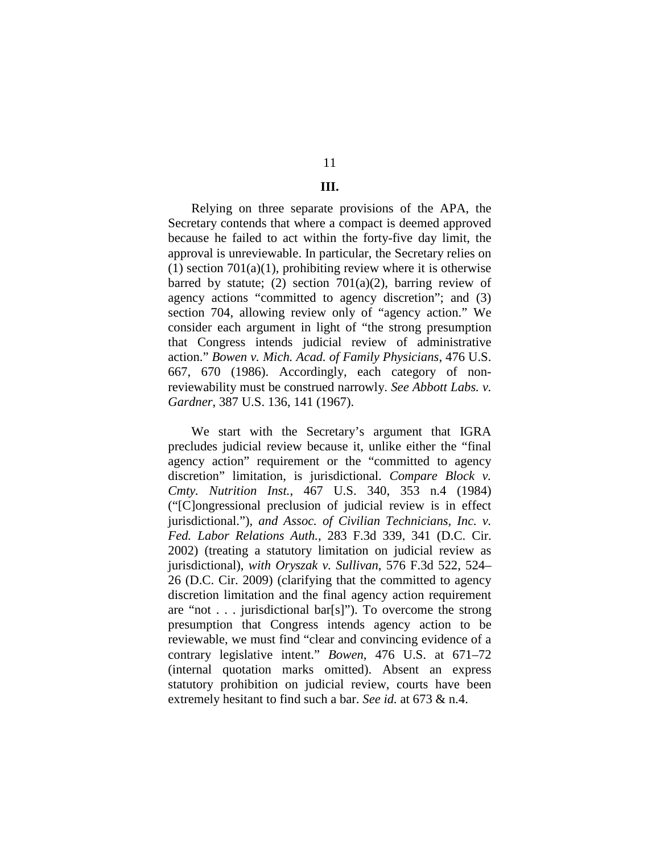# 11

## **III.**

Relying on three separate provisions of the APA, the Secretary contends that where a compact is deemed approved because he failed to act within the forty-five day limit, the approval is unreviewable. In particular, the Secretary relies on (1) section  $701(a)(1)$ , prohibiting review where it is otherwise barred by statute; (2) section  $701(a)(2)$ , barring review of agency actions "committed to agency discretion"; and (3) section 704, allowing review only of "agency action." We consider each argument in light of "the strong presumption that Congress intends judicial review of administrative action." *Bowen v. Mich. Acad. of Family Physicians*, 476 U.S. 667, 670 (1986). Accordingly, each category of nonreviewability must be construed narrowly. *See Abbott Labs. v. Gardner*, 387 U.S. 136, 141 (1967).

We start with the Secretary's argument that IGRA precludes judicial review because it, unlike either the "final agency action" requirement or the "committed to agency discretion" limitation, is jurisdictional. *Compare Block v. Cmty. Nutrition Inst.*, 467 U.S. 340, 353 n.4 (1984) ("[C]ongressional preclusion of judicial review is in effect jurisdictional."), *and Assoc. of Civilian Technicians, Inc. v. Fed. Labor Relations Auth.*, 283 F.3d 339, 341 (D.C. Cir. 2002) (treating a statutory limitation on judicial review as jurisdictional), *with Oryszak v. Sullivan*, 576 F.3d 522, 524– 26 (D.C. Cir. 2009) (clarifying that the committed to agency discretion limitation and the final agency action requirement are "not . . . jurisdictional bar[s]"). To overcome the strong presumption that Congress intends agency action to be reviewable, we must find "clear and convincing evidence of a contrary legislative intent." *Bowen*, 476 U.S. at 671–72 (internal quotation marks omitted). Absent an express statutory prohibition on judicial review, courts have been extremely hesitant to find such a bar. *See id.* at 673 & n.4.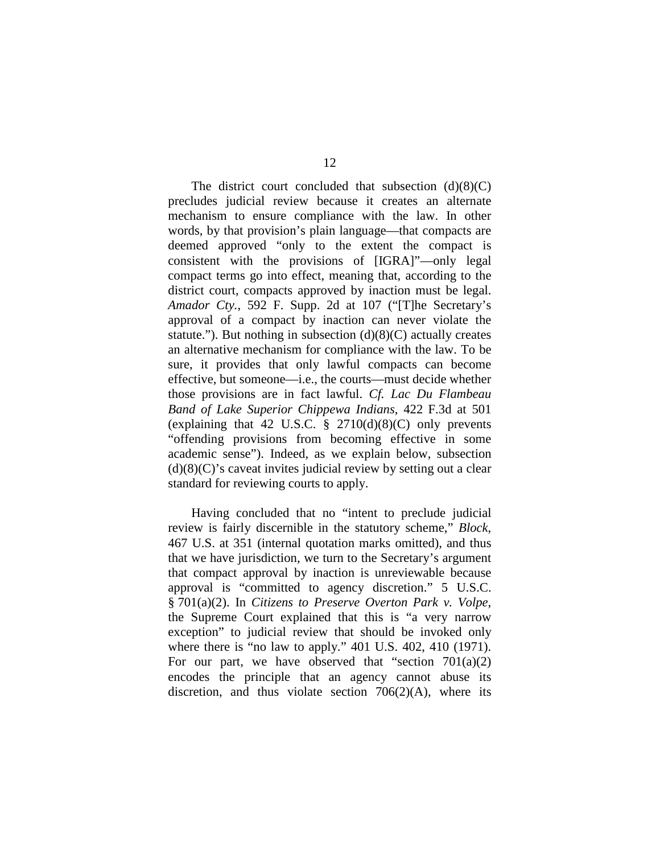The district court concluded that subsection  $(d)(8)(C)$ precludes judicial review because it creates an alternate mechanism to ensure compliance with the law. In other words, by that provision's plain language—that compacts are deemed approved "only to the extent the compact is consistent with the provisions of [IGRA]"—only legal compact terms go into effect, meaning that, according to the district court, compacts approved by inaction must be legal. *Amador Cty.*, 592 F. Supp. 2d at 107 ("[T]he Secretary's approval of a compact by inaction can never violate the statute."). But nothing in subsection  $(d)(8)(C)$  actually creates an alternative mechanism for compliance with the law. To be sure, it provides that only lawful compacts can become effective, but someone—i.e., the courts—must decide whether those provisions are in fact lawful. *Cf. Lac Du Flambeau Band of Lake Superior Chippewa Indians*, 422 F.3d at 501 (explaining that 42 U.S.C.  $\S$  2710(d)(8)(C) only prevents "offending provisions from becoming effective in some academic sense"). Indeed, as we explain below, subsection  $(d)(8)(C)$ 's caveat invites judicial review by setting out a clear standard for reviewing courts to apply.

Having concluded that no "intent to preclude judicial review is fairly discernible in the statutory scheme," *Block*, 467 U.S. at 351 (internal quotation marks omitted), and thus that we have jurisdiction, we turn to the Secretary's argument that compact approval by inaction is unreviewable because approval is "committed to agency discretion." 5 U.S.C. § 701(a)(2). In *Citizens to Preserve Overton Park v. Volpe*, the Supreme Court explained that this is "a very narrow exception" to judicial review that should be invoked only where there is "no law to apply." 401 U.S. 402, 410 (1971). For our part, we have observed that "section  $701(a)(2)$ encodes the principle that an agency cannot abuse its discretion, and thus violate section  $706(2)(A)$ , where its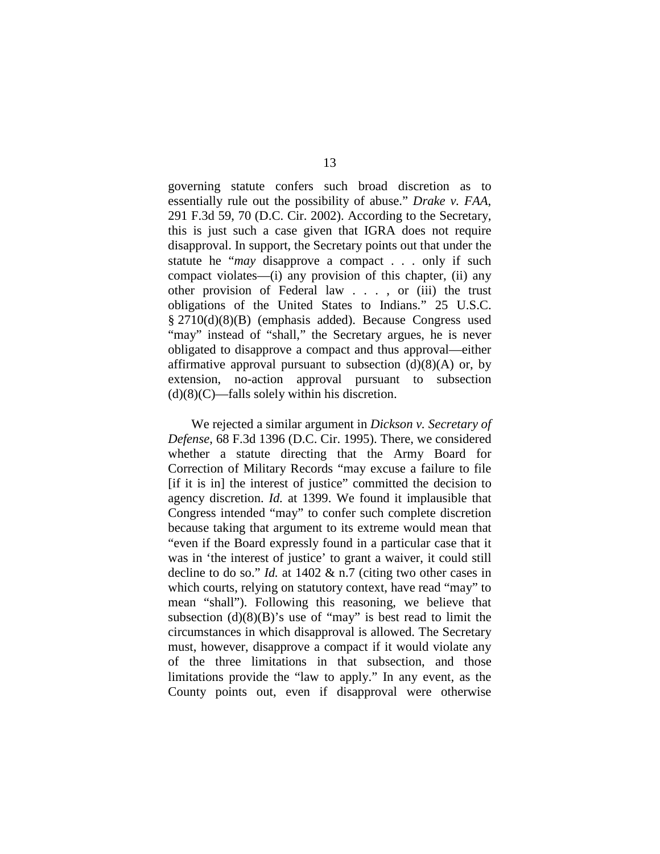governing statute confers such broad discretion as to essentially rule out the possibility of abuse." *Drake v. FAA*, 291 F.3d 59, 70 (D.C. Cir. 2002). According to the Secretary, this is just such a case given that IGRA does not require disapproval. In support, the Secretary points out that under the statute he "*may* disapprove a compact . . . only if such compact violates—(i) any provision of this chapter, (ii) any other provision of Federal law . . . , or (iii) the trust obligations of the United States to Indians." 25 U.S.C. § 2710(d)(8)(B) (emphasis added). Because Congress used "may" instead of "shall," the Secretary argues, he is never obligated to disapprove a compact and thus approval—either affirmative approval pursuant to subsection  $(d)(8)(A)$  or, by extension, no-action approval pursuant to subsection  $(d)(8)(C)$ —falls solely within his discretion.

We rejected a similar argument in *Dickson v. Secretary of Defense*, 68 F.3d 1396 (D.C. Cir. 1995). There, we considered whether a statute directing that the Army Board for Correction of Military Records "may excuse a failure to file [if it is in] the interest of justice" committed the decision to agency discretion. *Id.* at 1399. We found it implausible that Congress intended "may" to confer such complete discretion because taking that argument to its extreme would mean that "even if the Board expressly found in a particular case that it was in 'the interest of justice' to grant a waiver, it could still decline to do so." *Id.* at 1402 & n.7 (citing two other cases in which courts, relying on statutory context, have read "may" to mean "shall"). Following this reasoning, we believe that subsection  $(d)(8)(B)$ 's use of "may" is best read to limit the circumstances in which disapproval is allowed. The Secretary must, however, disapprove a compact if it would violate any of the three limitations in that subsection, and those limitations provide the "law to apply." In any event, as the County points out, even if disapproval were otherwise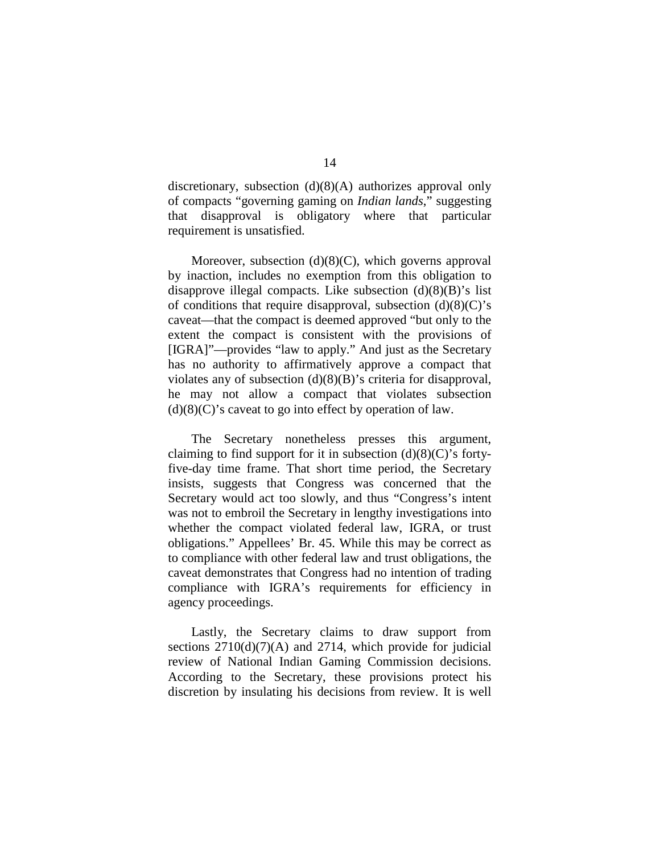discretionary, subsection (d)(8)(A) authorizes approval only of compacts "governing gaming on *Indian lands*," suggesting that disapproval is obligatory where that particular requirement is unsatisfied.

Moreover, subsection  $(d)(8)(C)$ , which governs approval by inaction, includes no exemption from this obligation to disapprove illegal compacts. Like subsection  $(d)(8)(B)$ 's list of conditions that require disapproval, subsection  $(d)(8)(C)$ 's caveat—that the compact is deemed approved "but only to the extent the compact is consistent with the provisions of [IGRA]"—provides "law to apply." And just as the Secretary has no authority to affirmatively approve a compact that violates any of subsection (d)(8)(B)'s criteria for disapproval, he may not allow a compact that violates subsection  $(d)(8)(C)$ 's caveat to go into effect by operation of law.

The Secretary nonetheless presses this argument, claiming to find support for it in subsection  $(d)(8)(C)$ 's fortyfive-day time frame. That short time period, the Secretary insists, suggests that Congress was concerned that the Secretary would act too slowly, and thus "Congress's intent was not to embroil the Secretary in lengthy investigations into whether the compact violated federal law, IGRA, or trust obligations." Appellees' Br. 45. While this may be correct as to compliance with other federal law and trust obligations, the caveat demonstrates that Congress had no intention of trading compliance with IGRA's requirements for efficiency in agency proceedings.

Lastly, the Secretary claims to draw support from sections  $2710(d)(7)(A)$  and  $2714$ , which provide for judicial review of National Indian Gaming Commission decisions. According to the Secretary, these provisions protect his discretion by insulating his decisions from review. It is well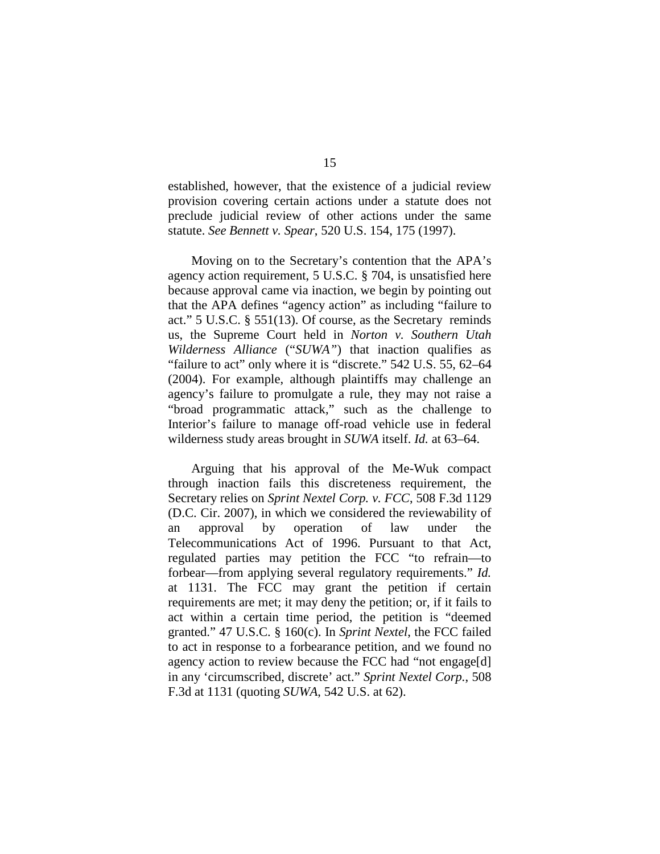established, however, that the existence of a judicial review provision covering certain actions under a statute does not preclude judicial review of other actions under the same statute. *See Bennett v. Spear*, 520 U.S. 154, 175 (1997).

Moving on to the Secretary's contention that the APA's agency action requirement, 5 U.S.C. § 704, is unsatisfied here because approval came via inaction, we begin by pointing out that the APA defines "agency action" as including "failure to act." 5 U.S.C. § 551(13). Of course, as the Secretary reminds us, the Supreme Court held in *Norton v. Southern Utah Wilderness Alliance* ("*SUWA"*) that inaction qualifies as "failure to act" only where it is "discrete." 542 U.S. 55, 62–64 (2004). For example, although plaintiffs may challenge an agency's failure to promulgate a rule, they may not raise a "broad programmatic attack," such as the challenge to Interior's failure to manage off-road vehicle use in federal wilderness study areas brought in *SUWA* itself. *Id.* at 63–64.

Arguing that his approval of the Me-Wuk compact through inaction fails this discreteness requirement, the Secretary relies on *Sprint Nextel Corp. v. FCC*, 508 F.3d 1129 (D.C. Cir. 2007), in which we considered the reviewability of an approval by operation of law under the Telecommunications Act of 1996. Pursuant to that Act, regulated parties may petition the FCC "to refrain—to forbear—from applying several regulatory requirements." *Id.* at 1131. The FCC may grant the petition if certain requirements are met; it may deny the petition; or, if it fails to act within a certain time period, the petition is "deemed granted." 47 U.S.C. § 160(c). In *Sprint Nextel*, the FCC failed to act in response to a forbearance petition, and we found no agency action to review because the FCC had "not engage[d] in any 'circumscribed, discrete' act." *Sprint Nextel Corp.*, 508 F.3d at 1131 (quoting *SUWA*, 542 U.S. at 62).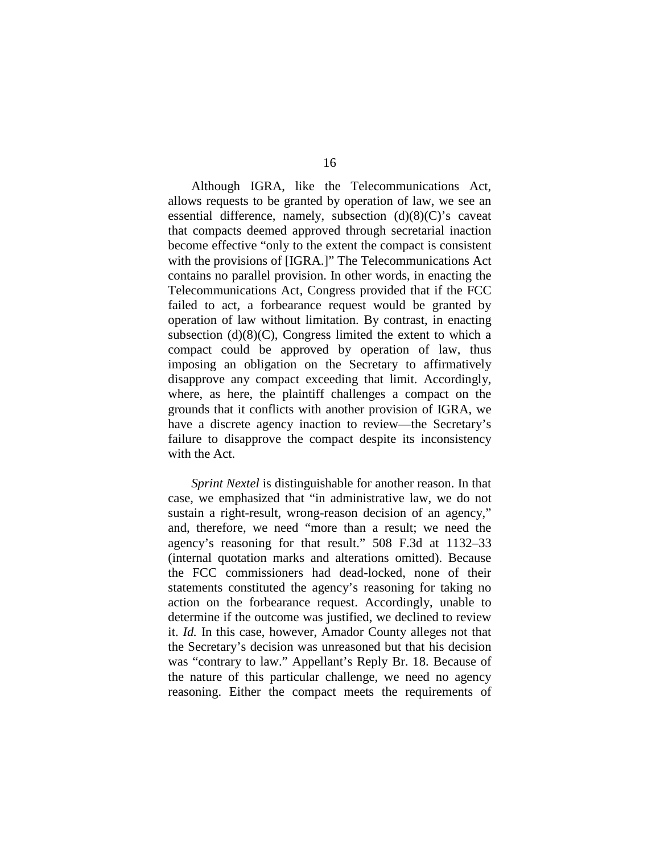Although IGRA, like the Telecommunications Act, allows requests to be granted by operation of law, we see an essential difference, namely, subsection (d)(8)(C)'s caveat that compacts deemed approved through secretarial inaction become effective "only to the extent the compact is consistent with the provisions of [IGRA.]" The Telecommunications Act contains no parallel provision. In other words, in enacting the Telecommunications Act, Congress provided that if the FCC failed to act, a forbearance request would be granted by operation of law without limitation. By contrast, in enacting subsection (d)(8)(C), Congress limited the extent to which a compact could be approved by operation of law, thus imposing an obligation on the Secretary to affirmatively disapprove any compact exceeding that limit. Accordingly, where, as here, the plaintiff challenges a compact on the grounds that it conflicts with another provision of IGRA, we have a discrete agency inaction to review—the Secretary's failure to disapprove the compact despite its inconsistency with the Act.

*Sprint Nextel* is distinguishable for another reason. In that case, we emphasized that "in administrative law, we do not sustain a right-result, wrong-reason decision of an agency," and, therefore, we need "more than a result; we need the agency's reasoning for that result." 508 F.3d at 1132–33 (internal quotation marks and alterations omitted). Because the FCC commissioners had dead-locked, none of their statements constituted the agency's reasoning for taking no action on the forbearance request. Accordingly, unable to determine if the outcome was justified, we declined to review it. *Id.* In this case, however, Amador County alleges not that the Secretary's decision was unreasoned but that his decision was "contrary to law." Appellant's Reply Br. 18. Because of the nature of this particular challenge, we need no agency reasoning. Either the compact meets the requirements of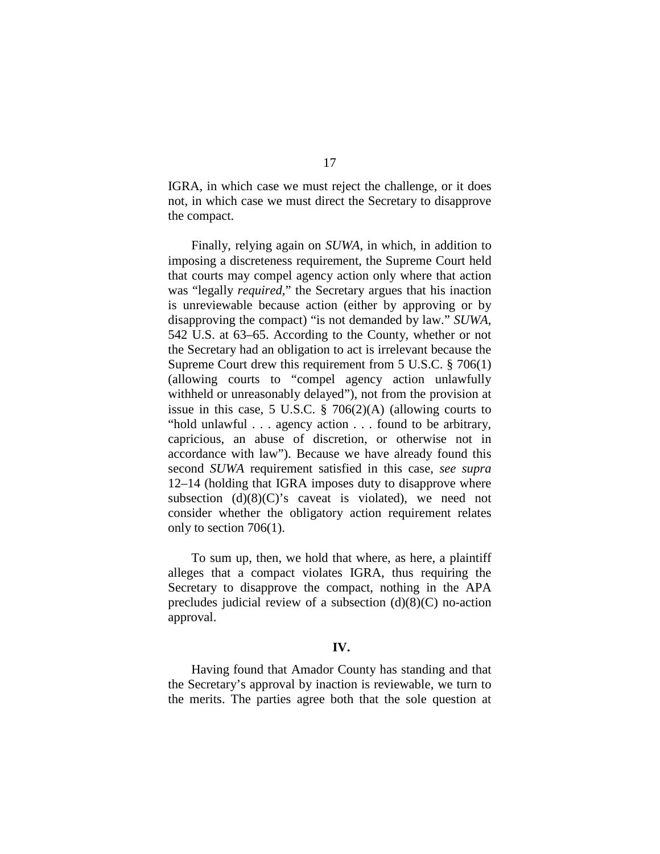IGRA, in which case we must reject the challenge, or it does not, in which case we must direct the Secretary to disapprove the compact.

Finally, relying again on *SUWA*, in which, in addition to imposing a discreteness requirement, the Supreme Court held that courts may compel agency action only where that action was "legally *required*," the Secretary argues that his inaction is unreviewable because action (either by approving or by disapproving the compact) "is not demanded by law." *SUWA*, 542 U.S. at 63–65. According to the County, whether or not the Secretary had an obligation to act is irrelevant because the Supreme Court drew this requirement from 5 U.S.C. § 706(1) (allowing courts to "compel agency action unlawfully withheld or unreasonably delayed"), not from the provision at issue in this case, 5 U.S.C. § 706(2)(A) (allowing courts to "hold unlawful . . . agency action . . . found to be arbitrary, capricious, an abuse of discretion, or otherwise not in accordance with law"). Because we have already found this second *SUWA* requirement satisfied in this case, *see supra*  12–14 (holding that IGRA imposes duty to disapprove where subsection  $(d)(8)(C)$ 's caveat is violated), we need not consider whether the obligatory action requirement relates only to section 706(1).

To sum up, then, we hold that where, as here, a plaintiff alleges that a compact violates IGRA, thus requiring the Secretary to disapprove the compact, nothing in the APA precludes judicial review of a subsection  $(d)(8)(C)$  no-action approval.

#### **IV.**

Having found that Amador County has standing and that the Secretary's approval by inaction is reviewable, we turn to the merits. The parties agree both that the sole question at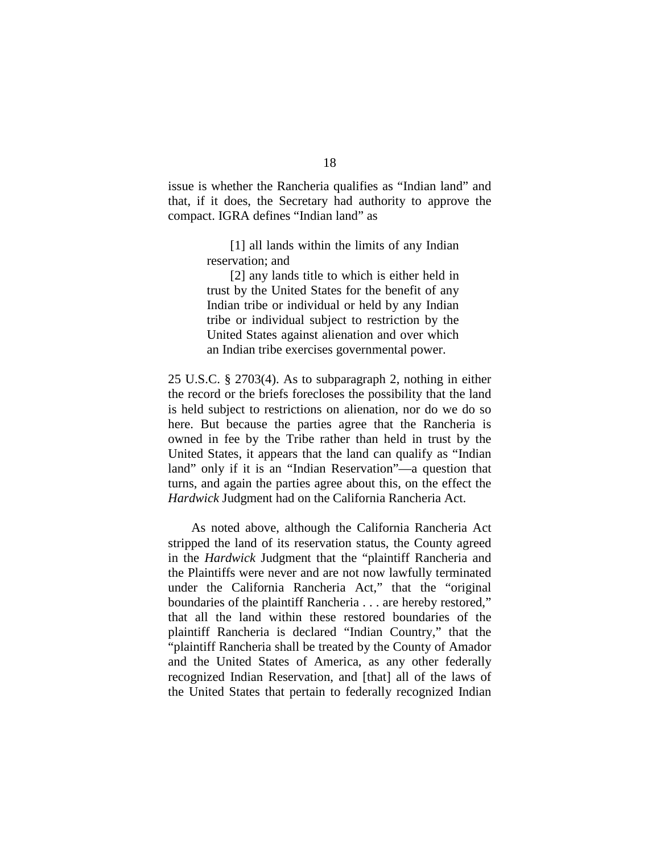issue is whether the Rancheria qualifies as "Indian land" and that, if it does, the Secretary had authority to approve the compact. IGRA defines "Indian land" as

> [1] all lands within the limits of any Indian reservation; and

> [2] any lands title to which is either held in trust by the United States for the benefit of any Indian tribe or individual or held by any Indian tribe or individual subject to restriction by the United States against alienation and over which an Indian tribe exercises governmental power.

25 U.S.C. § 2703(4). As to subparagraph 2, nothing in either the record or the briefs forecloses the possibility that the land is held subject to restrictions on alienation, nor do we do so here. But because the parties agree that the Rancheria is owned in fee by the Tribe rather than held in trust by the United States, it appears that the land can qualify as "Indian land" only if it is an "Indian Reservation"—a question that turns, and again the parties agree about this, on the effect the *Hardwick* Judgment had on the California Rancheria Act.

As noted above, although the California Rancheria Act stripped the land of its reservation status, the County agreed in the *Hardwick* Judgment that the "plaintiff Rancheria and the Plaintiffs were never and are not now lawfully terminated under the California Rancheria Act," that the "original boundaries of the plaintiff Rancheria . . . are hereby restored," that all the land within these restored boundaries of the plaintiff Rancheria is declared "Indian Country," that the "plaintiff Rancheria shall be treated by the County of Amador and the United States of America, as any other federally recognized Indian Reservation, and [that] all of the laws of the United States that pertain to federally recognized Indian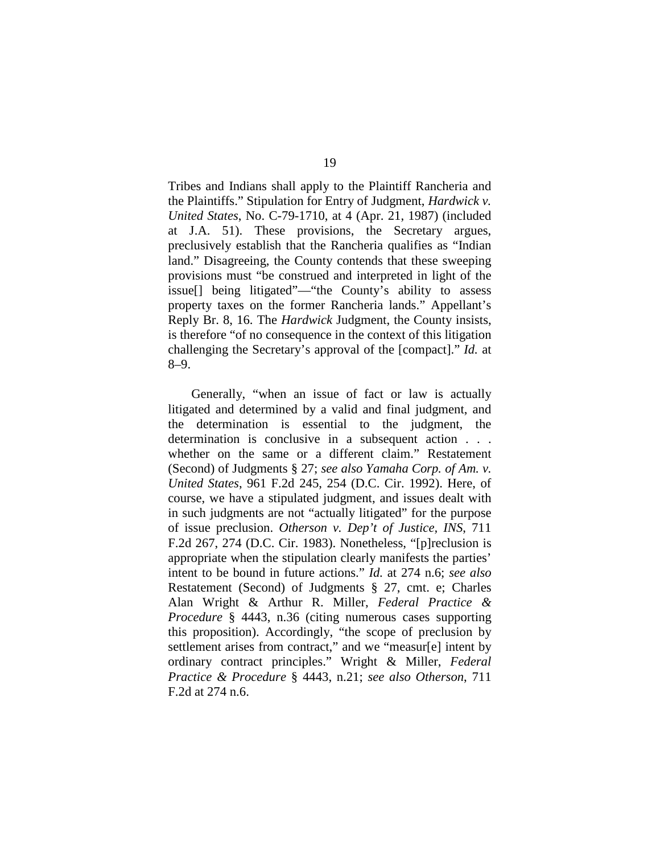Tribes and Indians shall apply to the Plaintiff Rancheria and the Plaintiffs." Stipulation for Entry of Judgment, *Hardwick v. United States*, No. C-79-1710, at 4 (Apr. 21, 1987) (included at J.A. 51). These provisions, the Secretary argues, preclusively establish that the Rancheria qualifies as "Indian land." Disagreeing, the County contends that these sweeping provisions must "be construed and interpreted in light of the issue[] being litigated"—"the County's ability to assess property taxes on the former Rancheria lands." Appellant's Reply Br. 8, 16. The *Hardwick* Judgment, the County insists, is therefore "of no consequence in the context of this litigation challenging the Secretary's approval of the [compact]." *Id.* at 8–9.

Generally, "when an issue of fact or law is actually litigated and determined by a valid and final judgment, and the determination is essential to the judgment, the determination is conclusive in a subsequent action . . . whether on the same or a different claim." Restatement (Second) of Judgments § 27; *see also Yamaha Corp. of Am. v. United States*, 961 F.2d 245, 254 (D.C. Cir. 1992). Here, of course, we have a stipulated judgment, and issues dealt with in such judgments are not "actually litigated" for the purpose of issue preclusion. *Otherson v. Dep't of Justice, INS*, 711 F.2d 267, 274 (D.C. Cir. 1983). Nonetheless, "[p]reclusion is appropriate when the stipulation clearly manifests the parties' intent to be bound in future actions." *Id.* at 274 n.6; *see also*  Restatement (Second) of Judgments § 27, cmt. e; Charles Alan Wright & Arthur R. Miller, *Federal Practice & Procedure* § 4443, n.36 (citing numerous cases supporting this proposition). Accordingly, "the scope of preclusion by settlement arises from contract," and we "measur[e] intent by ordinary contract principles." Wright & Miller, *Federal Practice & Procedure* § 4443, n.21; *see also Otherson*, 711 F.2d at 274 n.6.